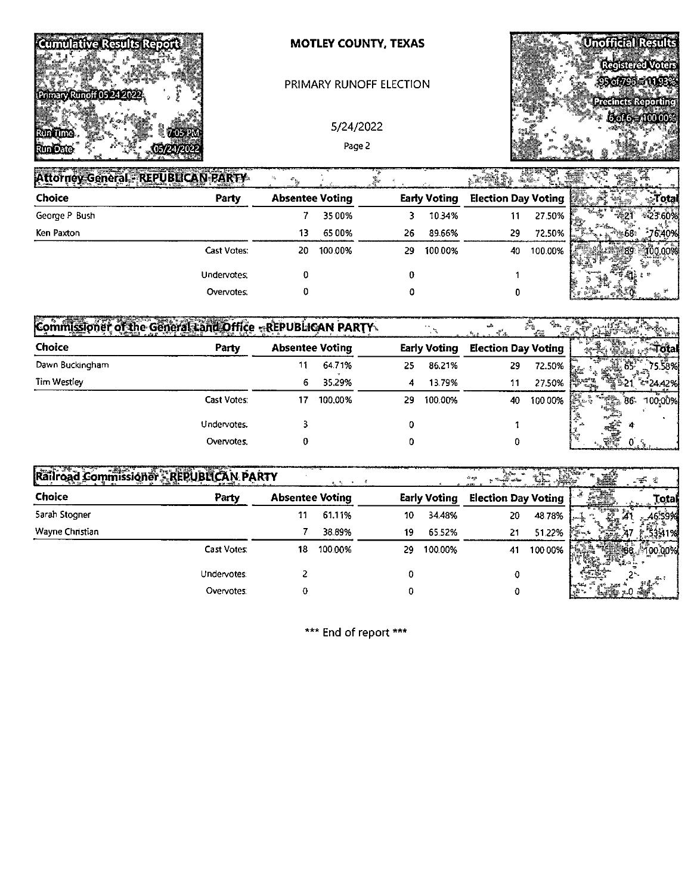

### **MOTLEY COUNTY, TEXAS**

#### PRIMARY RUNOFF ELECTION

5/24/2022 Page 2



| Attorney General - REPUBLICAN PARTY |             |                        |         |    |                     | r#M\$.                     | 187     |                                                                |        |
|-------------------------------------|-------------|------------------------|---------|----|---------------------|----------------------------|---------|----------------------------------------------------------------|--------|
| Choice                              | Party       | <b>Absentee Voting</b> |         |    | <b>Early Voting</b> | <b>Election Day Voting</b> |         |                                                                | otal   |
| George P Bush                       |             |                        | 3500%   |    | 10.34%              |                            | 27.50%  |                                                                |        |
| Ken Paxton                          |             | 13                     | 6500%   | 26 | 89.66%              | 29                         | 72.50%  | $T = \frac{1}{2\sqrt{3}} \frac{1}{2}$<br><b>COMPA</b><br>e 68. | 76.40% |
|                                     | Cast Votes: | 20                     | 100.00% | 29 | 100.00%             | 40                         | 100.00% |                                                                |        |
|                                     | Undervotes: |                        |         |    |                     |                            |         |                                                                |        |
|                                     | Overvotes:  |                        |         |    |                     |                            |         |                                                                |        |

| Commissioner of the General Land Office - REPUBLICAN PARTY |             |                        |         |    |                     |                            | $\mathcal{J}^{(2)}$ |                                  |                |
|------------------------------------------------------------|-------------|------------------------|---------|----|---------------------|----------------------------|---------------------|----------------------------------|----------------|
| Choice                                                     | Party       | <b>Absentee Voting</b> |         |    | <b>Early Voting</b> | <b>Election Day Voting</b> |                     |                                  |                |
| Dawn Buckingham                                            |             | 11                     | 64.71%  | 25 | 86.21%              | 29                         | $72.50\%$ }         |                                  | 75.58%         |
| Tim Westley                                                |             | 6.                     | 35.29%  | 4  | 13.79%              | 11                         | 27.50%              |                                  | ా 24.42%       |
|                                                            | Cast Votes: | 17                     | 100.00% | 29 | 100.00%             | 40                         | 100.00%             | । <b>हिंदु</b> ⊙े<br><b>Sidh</b> | 100,00%<br>-86 |
|                                                            | Undervotes: |                        |         |    |                     |                            |                     | * نىللى <sub>گەن</sub>           |                |
|                                                            | Overvotes.  |                        |         |    |                     |                            |                     |                                  |                |

| <b>Railroad</b><br>Commissioner - REPUBLICAN PARTY |                    |                        |         |    |                     | <b>APAR</b>                |         | æ      |
|----------------------------------------------------|--------------------|------------------------|---------|----|---------------------|----------------------------|---------|--------|
| Choice                                             | Party              | <b>Absentee Voting</b> |         |    | <b>Early Voting</b> | <b>Election Day Voting</b> |         | Total  |
| <b>5arah Stogner</b>                               |                    | 11                     | 61.11%  | 10 | 34.48%              | 20                         | 4878%   |        |
| Wayne Christian                                    |                    |                        | 38.89%  | 19 | 65.52%              | 21                         | 5122%   | 11%    |
|                                                    | <b>Cast Votes:</b> | 18                     | 100.00% | 29 | 100.00%             | 41                         | 100 00% |        |
|                                                    | Undervotes:        |                        |         |    |                     |                            |         | 茶      |
|                                                    | Overvotes.         | 0                      |         |    |                     |                            |         | i sale |

\*\*\* End of report \*\*\*